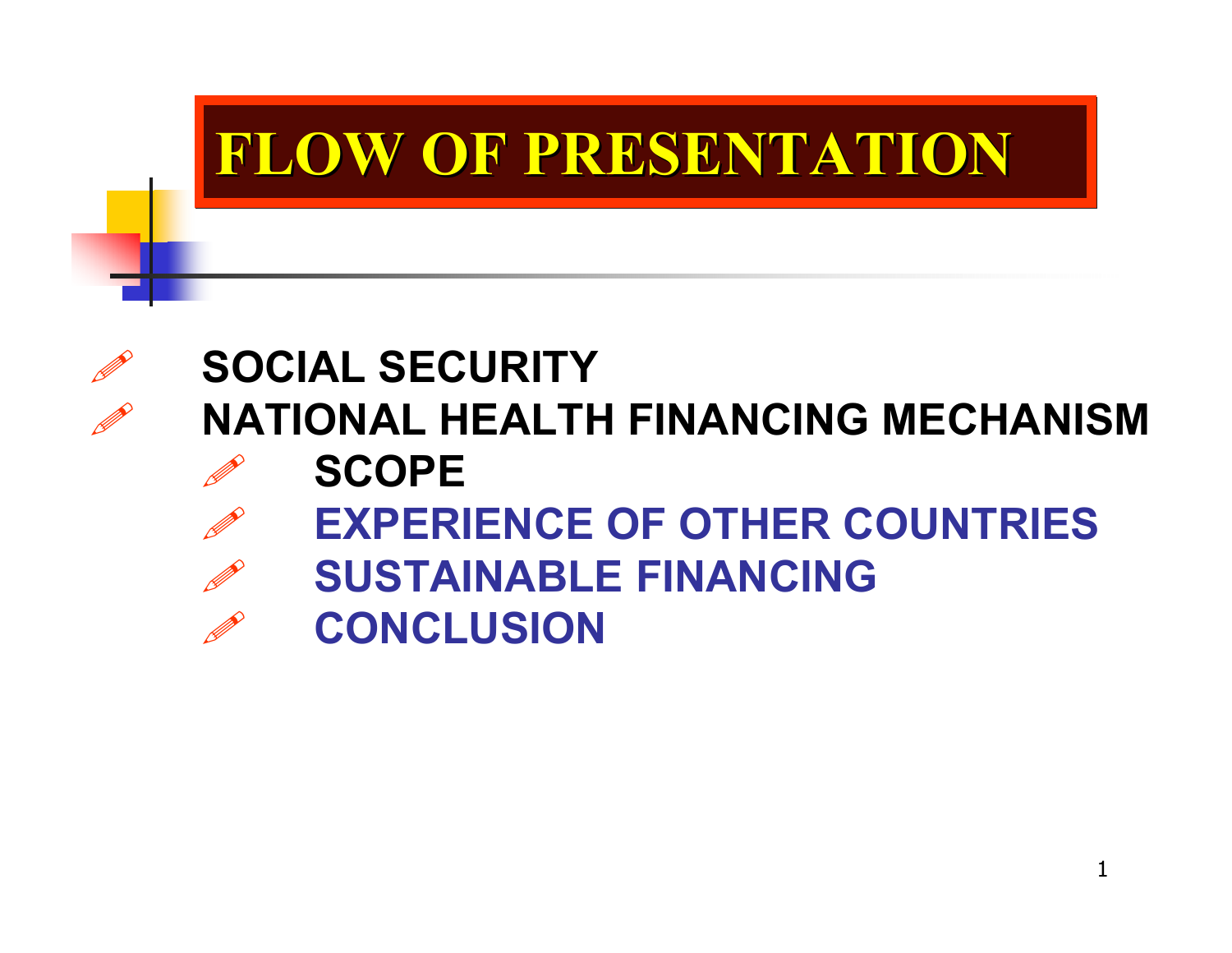## **FLOW OF PRESENTATION FLOW OF PRESENTATION FLOW OF PRESENTATION**

## **SOCIAL SECURITY NATIONAL HEALTH FINANCING MECHANISM**

D **SCOPE**

D

D

- D **EXPERIENCE OF OTHER COUNTRIES**
- D **SUSTAINABLE FINANCING**
- D **CONCLUSION**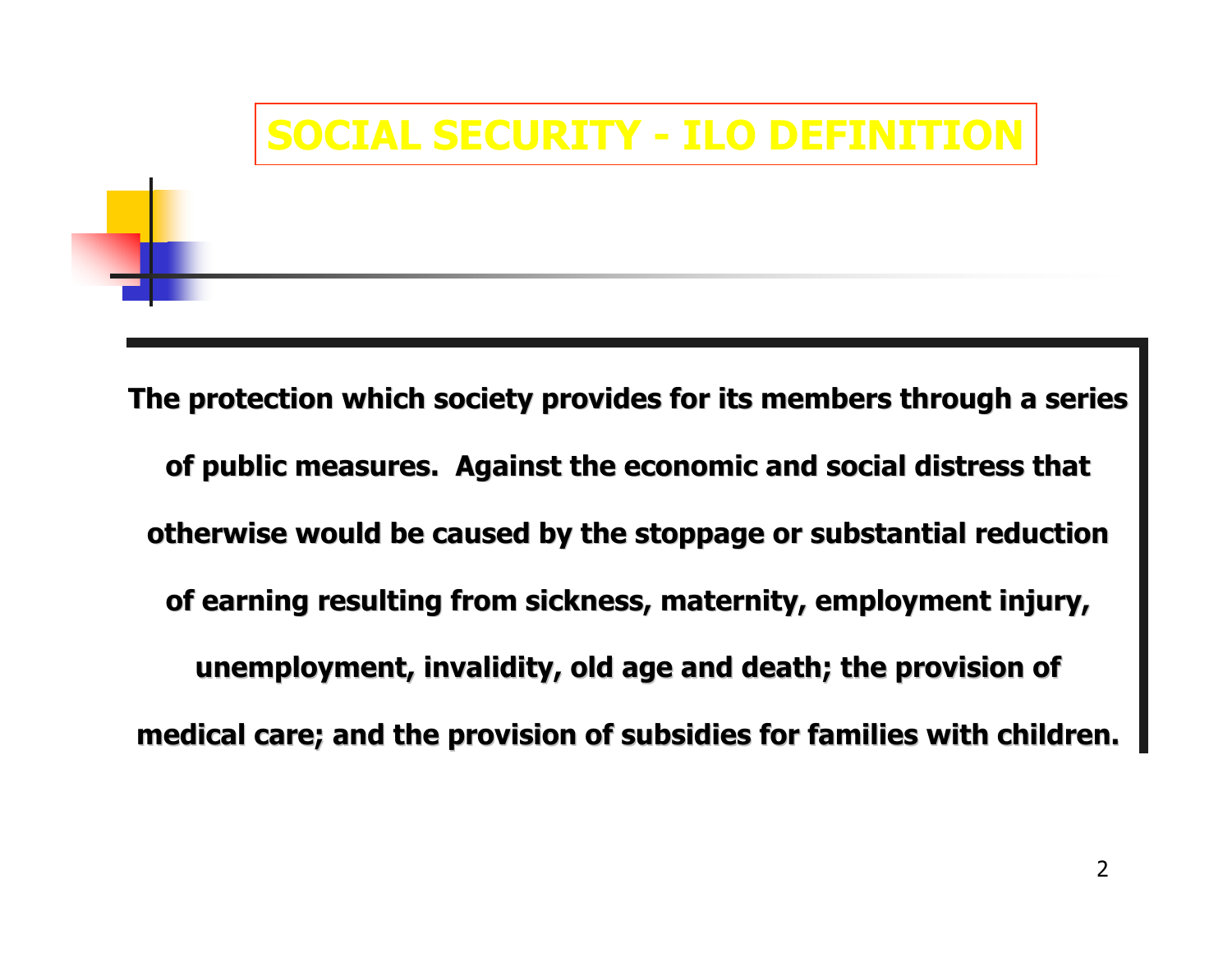#### **SOCIAL SECURITY - ILO DEFINITION**

The protection which society provides for its members through a series of public measures. Against the economic and social distress that **otherwise would be caused by the stoppage or substantial reduction** of earning resulting from sickness, maternity, employment injury, **unemployment, invalidity, old age and death; the provision of** medical care; and the provision of subsidies for families with children.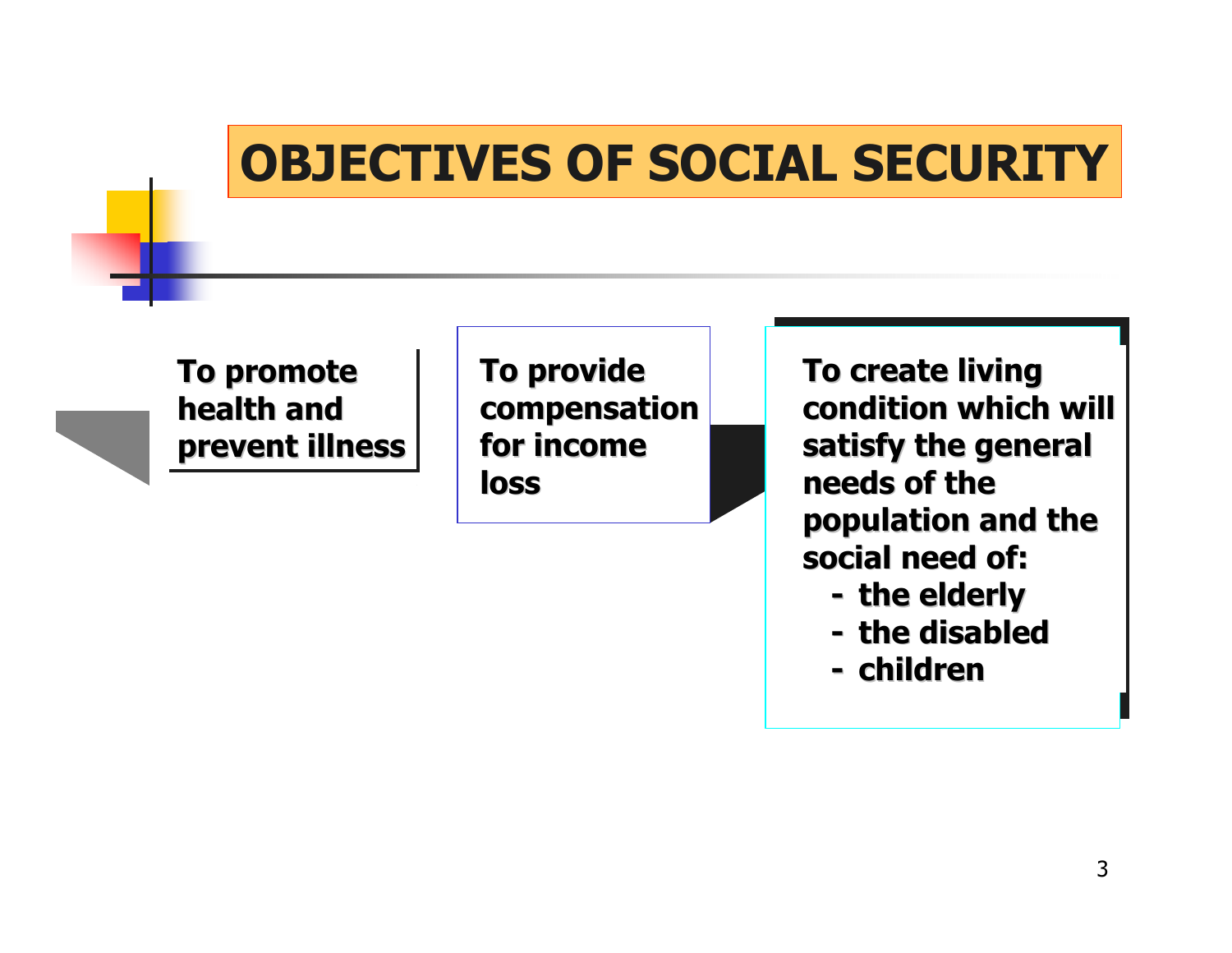#### **OBJECTIVES OF SOCIAL SECURITY**

**To promote To promote To promote health andhealth and health andprevent illness prevent illness prevent illness** **To provide To provide compensation compensation for income for incomeloss**

**To create living To create living condition which will condition which will satisfy the general satisfy the general needs of the needs of thepopulation and the population and the social need of: social need of:**

- **- the elderly**
- **- the disabled the disabled**
- **- children children**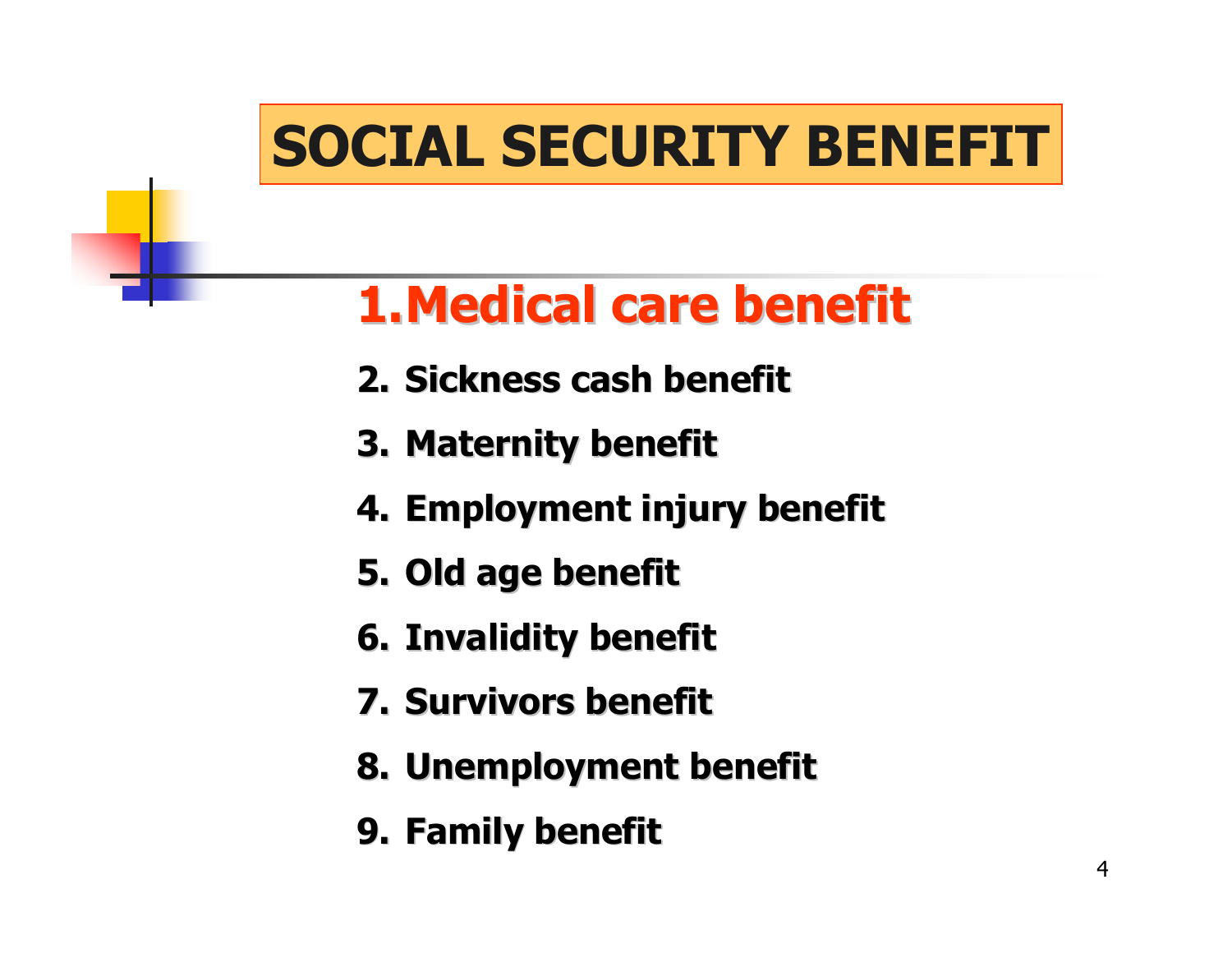# **SOCIAL SECURITY BENEFIT**

## **1.Medical care benefit Medical care benefit**

- **2. Sickness cash benefit Sickness cash benefit**
- **3. Maternity benefit Maternity benefit**
- **4. Employment injury benefit Employment injury benefit**
- **5. Old age benefit**
- **6. Invalidity benefit Invalidity benefit**
- **7. Survivors benefit Survivors benefit**
- **8. Unemployment benefit Unemployment benefit**
- **9. Family benefit Family benefit**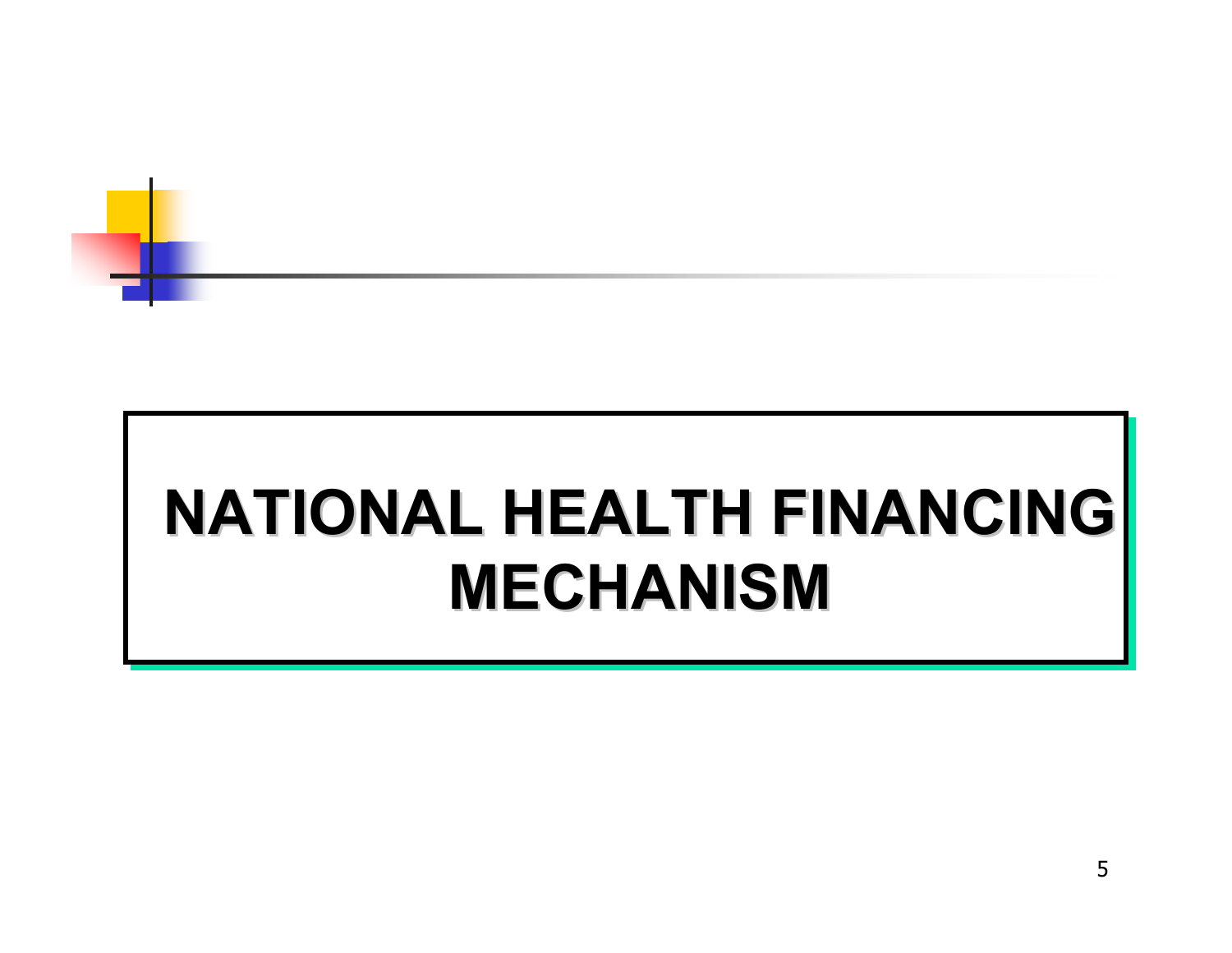

# **NATIONAL HEALTH FINANCING MECHANISM MECHANISM**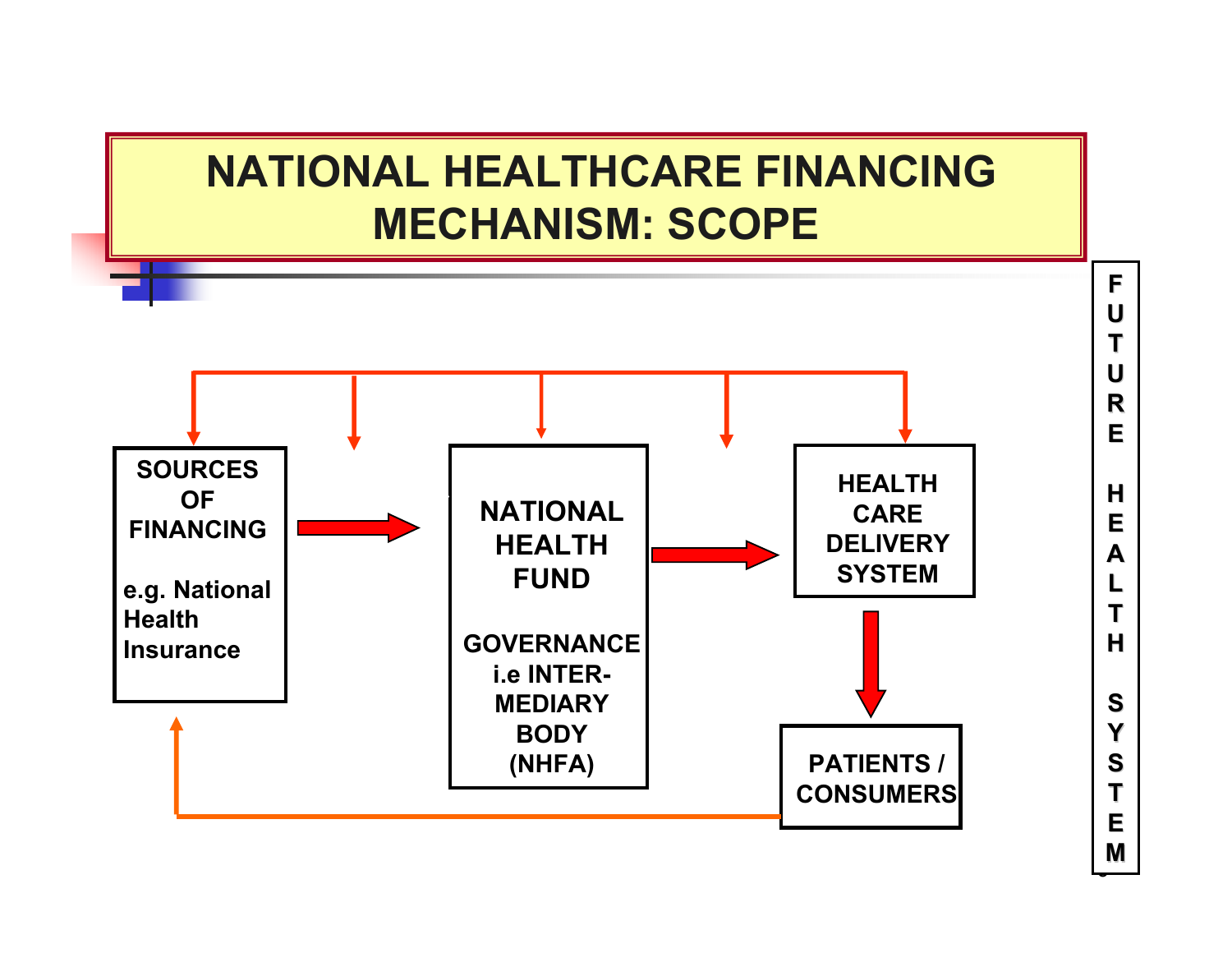



.<br>پ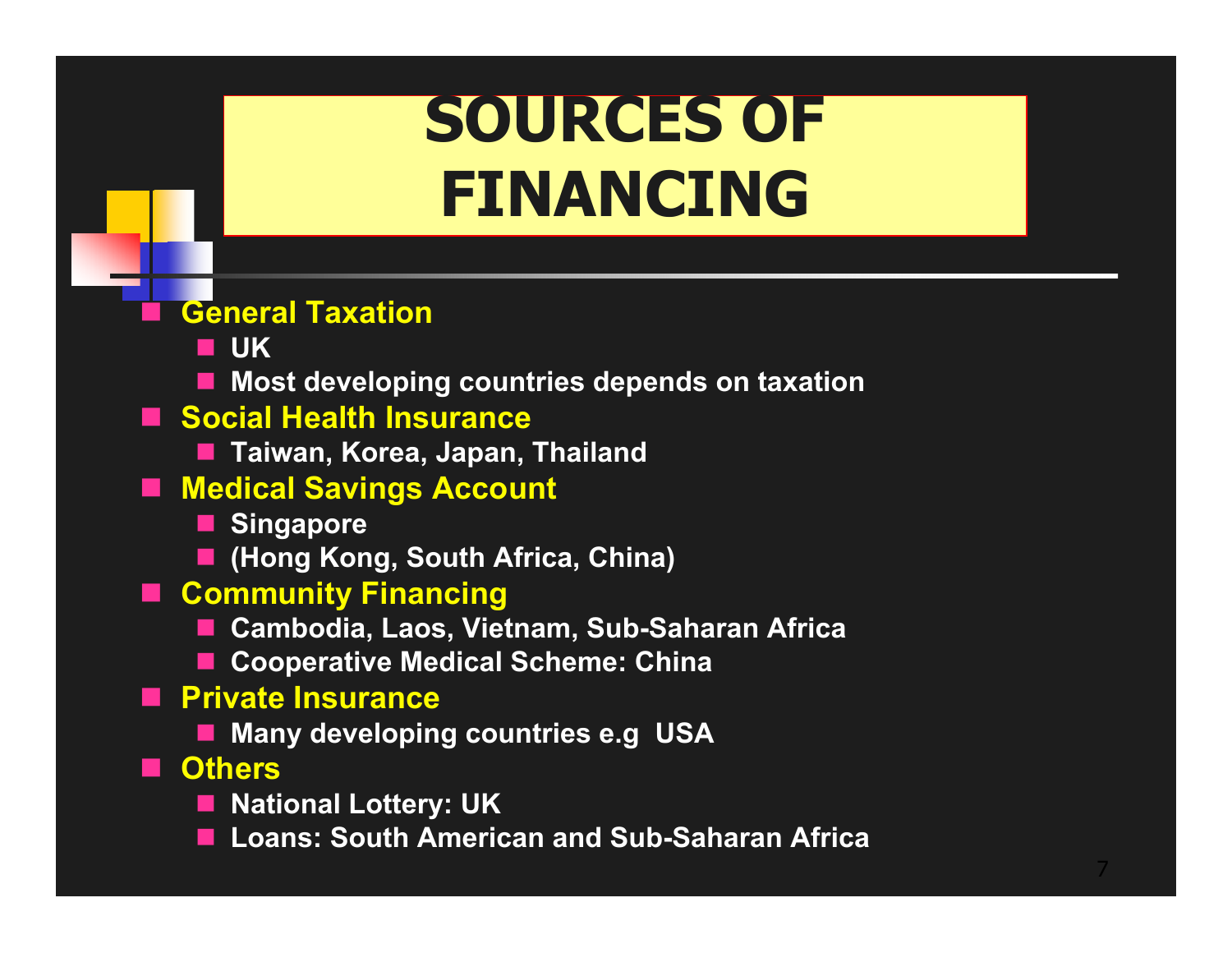# **SOURCES OF FINANCING**

#### **Gener al Taxation**

- **UK**
- **Most developing countries depends on taxation**
- Social Health Insurance
	- **Taiwan, Korea, Japan, Thailand**
- **Medical Savings Account**
	- **E** Singapore
	- **(Hong Kong, South Africa, China)**
- **Community Financing**
	- **Cambodia, Laos, Vietnam, Sub-Saharan Africa**
	- Cooperative Medical Scheme: China
- **Private Insurance**
	- Many developing countries e.g USA
- **Others**
	- National Lottery: UK
	- $\mathcal{L}_{\mathcal{A}}$ **Loans: South American and Sub-Saharan Africa**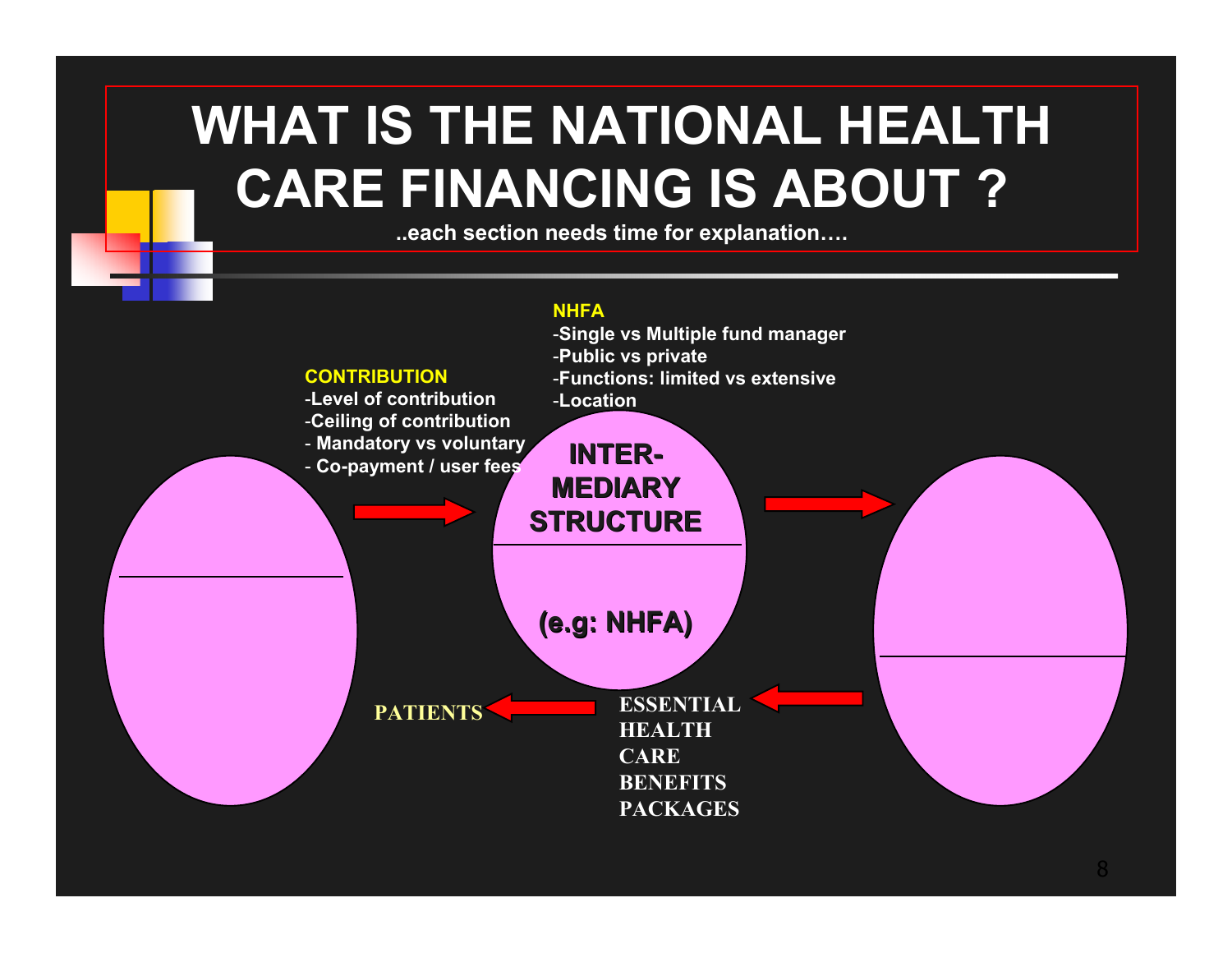## **WHAT IS THE NATIONAL HEALTHCARE FINANCING I S ABOUT ?**

**..each section needs time for explanation….**

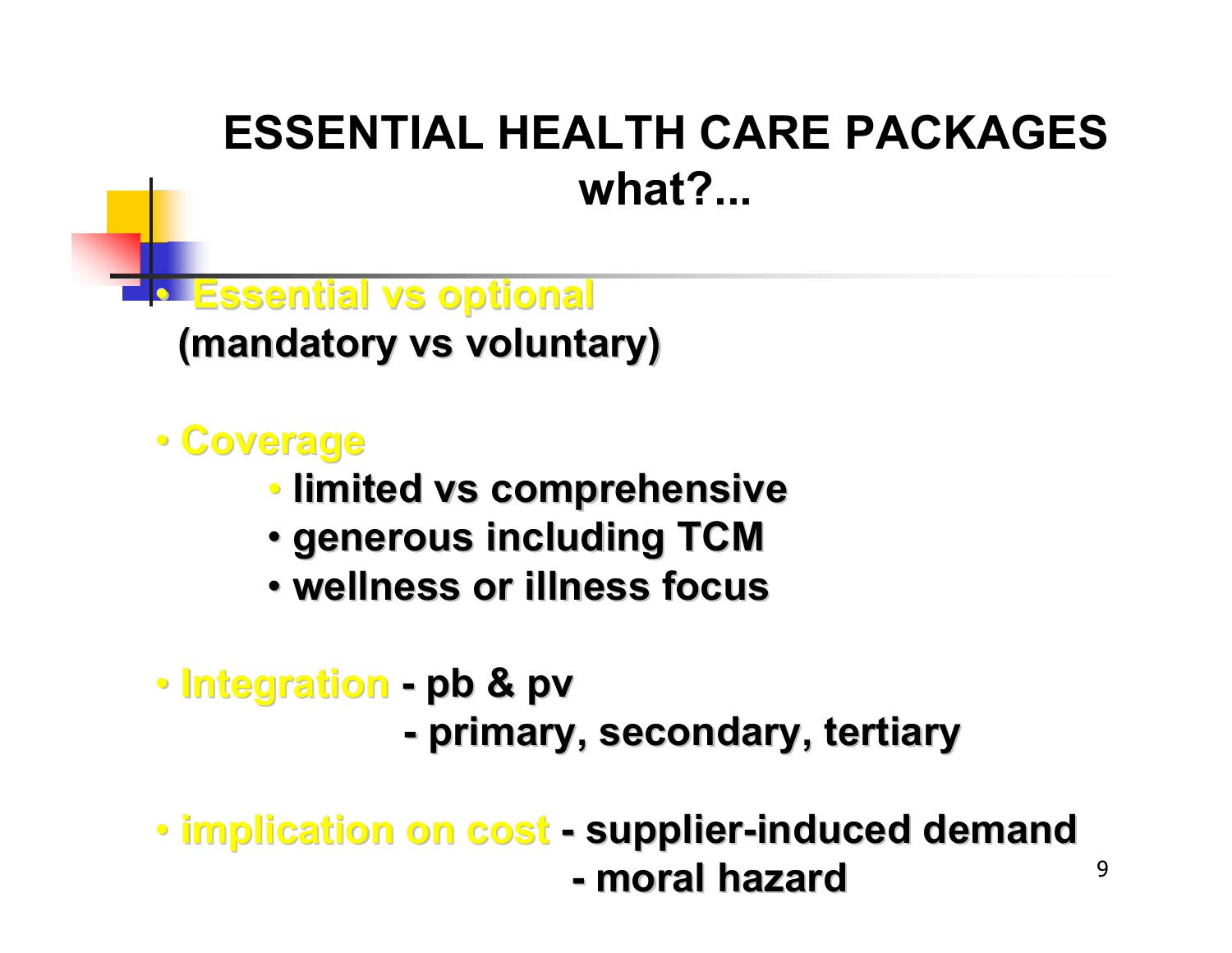### **ESSENTIAL HEALTH CARE PACKAGESwhat?...**

• **Essential Essential vs optional optional**

**(mandatory (mandatory vs voluntary) voluntary)**

• **Coverage Coverage**

- **limited limited vs comprehensive comprehensive**
- **generous including TCM generous including TCM**
- **wellness or illness focus wellness or illness focus**
- **Integration pb & pv**
	- **primary, secondary, tertiary primary, secondary, tertiary**

9

• **implication on cost implication on cost supplier supplier -induced demand induced demand - moral hazard moral hazard**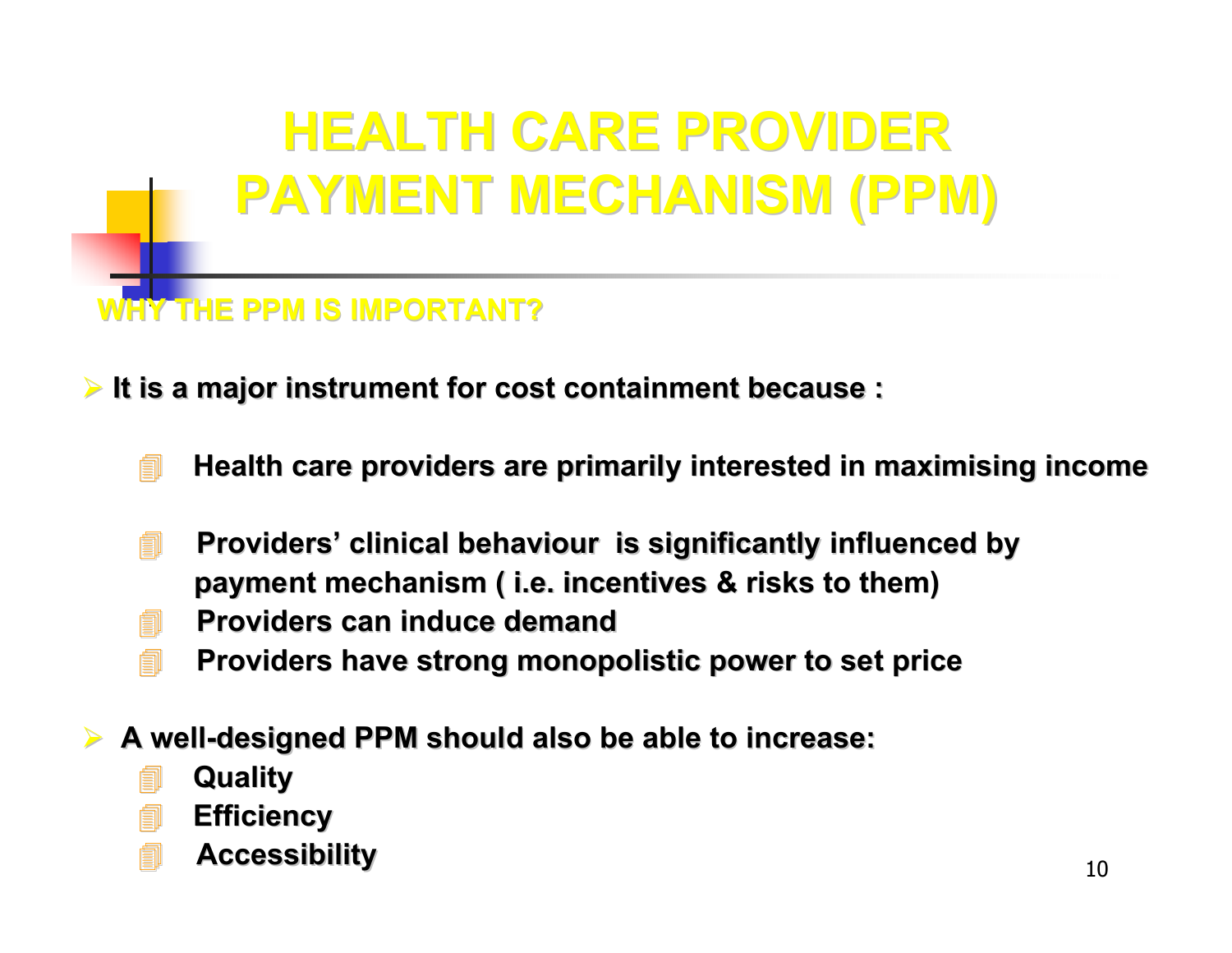# **HEALTH CARE PROVIDER HEALTH CARE PROVIDERPAYMENT MECHANISM (PPM) PAYMENT MECHANISM (PPM)**

#### **WHY THE PPM IS IMPORTANT? WHY THE PPM IS IMPORTANT?**

¾ **It is a major instrument for cost containment because : It is a major instrument for cost containment because :** 

- **Health care providers are primarily interested in maximising income**
- **<u>■ Providers' clinical behaviour is significantly influenced by </u> payment mechanism ( i.e. incentives & risks to them)**
- **Providers can induce demand Providers can induce demand**
- **Providers have strong monopolistic power to set price**  $\blacksquare$
- ¾**→ A well-designed PPM should also be able to increase:** 
	- **Quality Quality**
	- **Efficiency Efficiency**
	- **Accessibility ibility**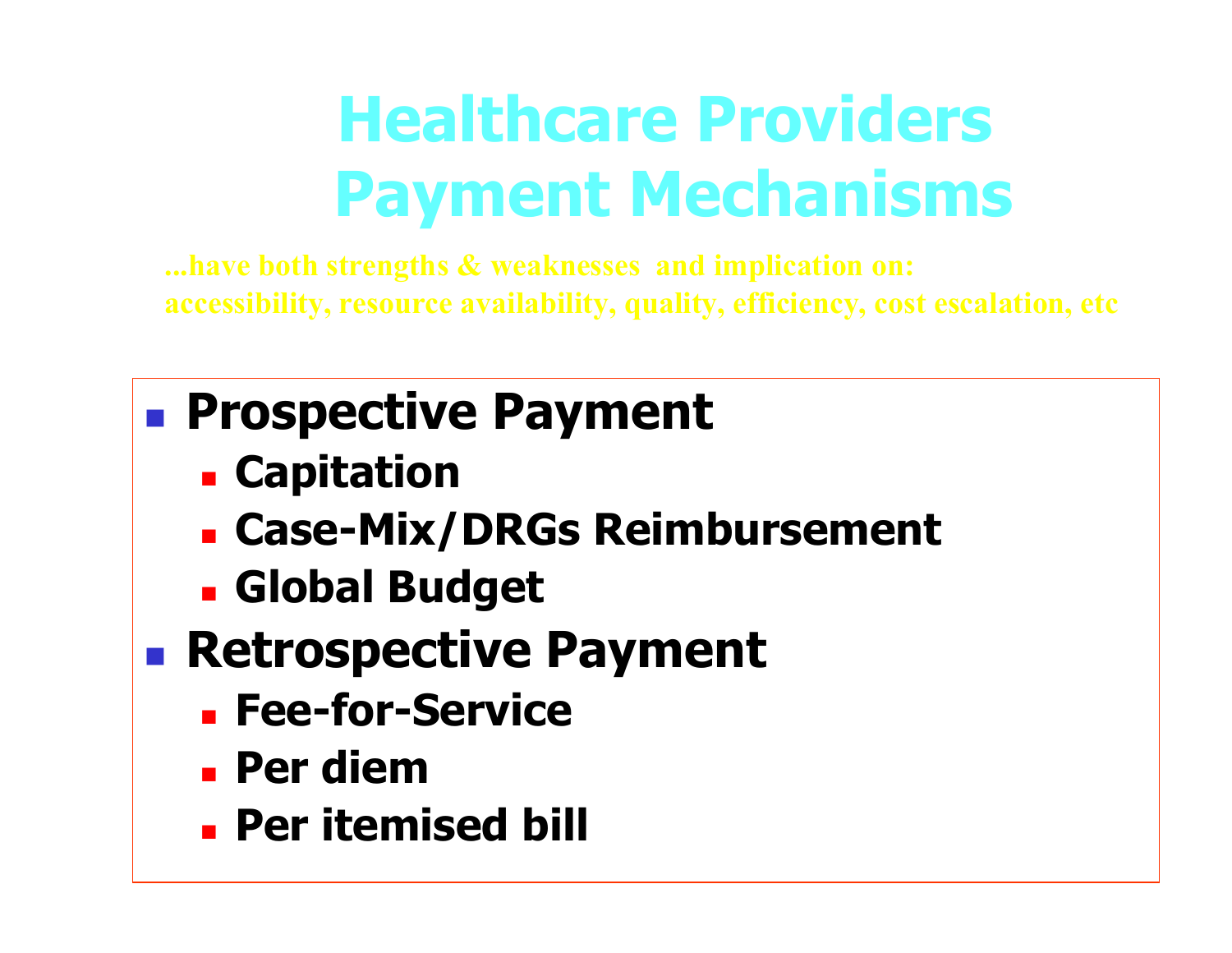# **Healthcare Providers Payment Mechanisms**

**...ha ve both strengths & weaknesses and implication on: accessibility, resource availability, quality, efficiency, cost escalation, etc**

## **Prospective Payment**

- **E** Capitation
- **Case-Mix/DRGs Reimbursement**
- **Global Budget**
- **Retrospective Payment** 
	- **Fee-for-Service**
	- **Per diem**
	- **Per itemised bill**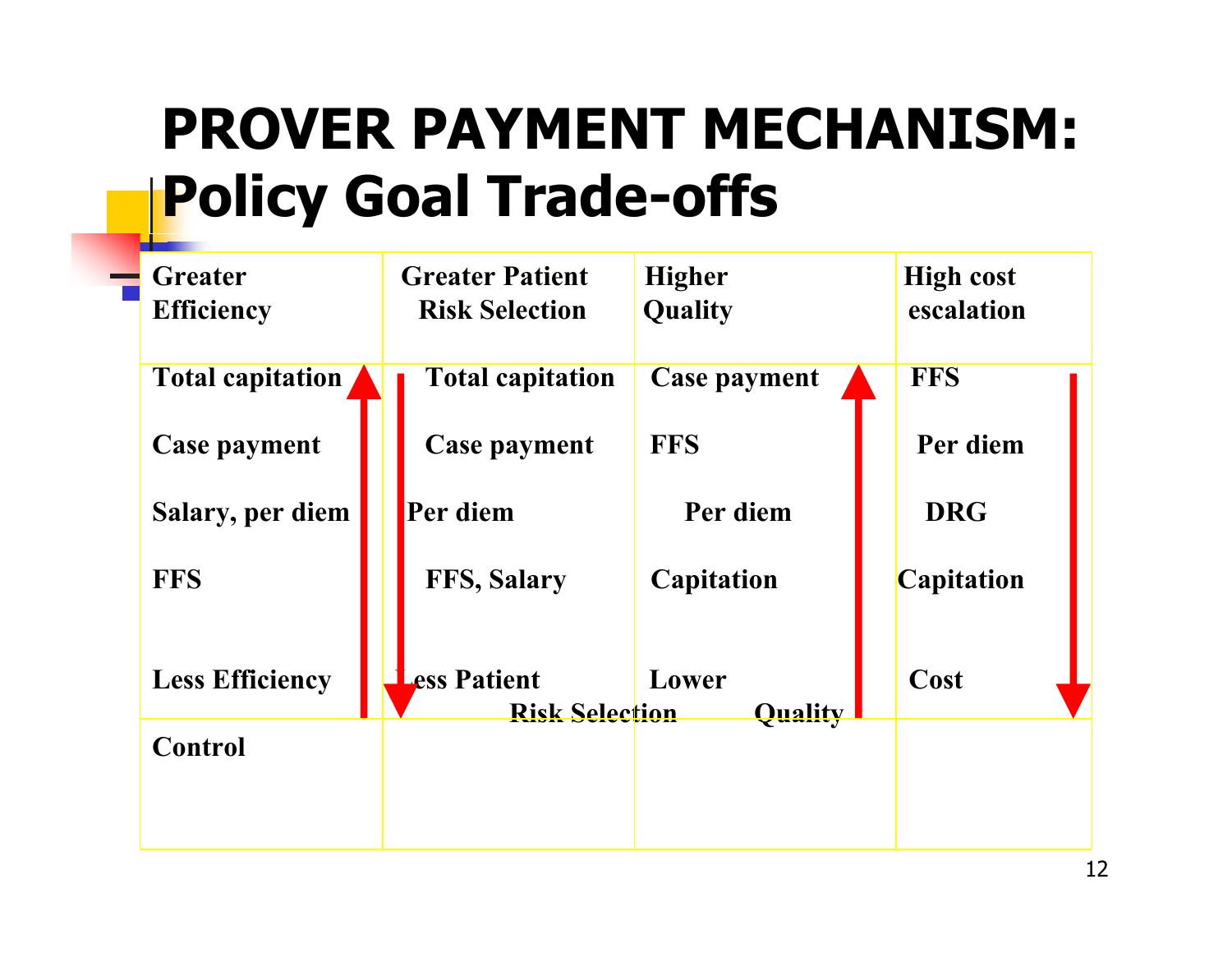# **PROVER PAYMENT MECHANISM: Policy Goal Trade-offs**

| <b>Greater</b><br><b>Efficiency</b> | <b>Greater Patient</b><br><b>Risk Selection</b> |                         | <b>Higher</b><br><b>Quality</b> | <b>High cost</b><br>escalation |
|-------------------------------------|-------------------------------------------------|-------------------------|---------------------------------|--------------------------------|
| <b>Total capitation</b>             |                                                 | <b>Total capitation</b> | <b>Case payment</b>             | <b>FFS</b>                     |
| <b>Case payment</b>                 |                                                 | <b>Case payment</b>     | <b>FFS</b>                      | Per diem                       |
| <b>Salary, per diem</b>             | Per diem                                        |                         | Per diem                        | <b>DRG</b>                     |
| <b>FFS</b>                          |                                                 | <b>FFS, Salary</b>      | <b>Capitation</b>               | <b>Capitation</b>              |
| <b>Less Efficiency</b>              | ess Patient                                     | <b>Risk Selection</b>   | Lower<br><b>Quality</b>         | Cost                           |
| <b>Control</b>                      |                                                 |                         |                                 |                                |
|                                     |                                                 |                         |                                 |                                |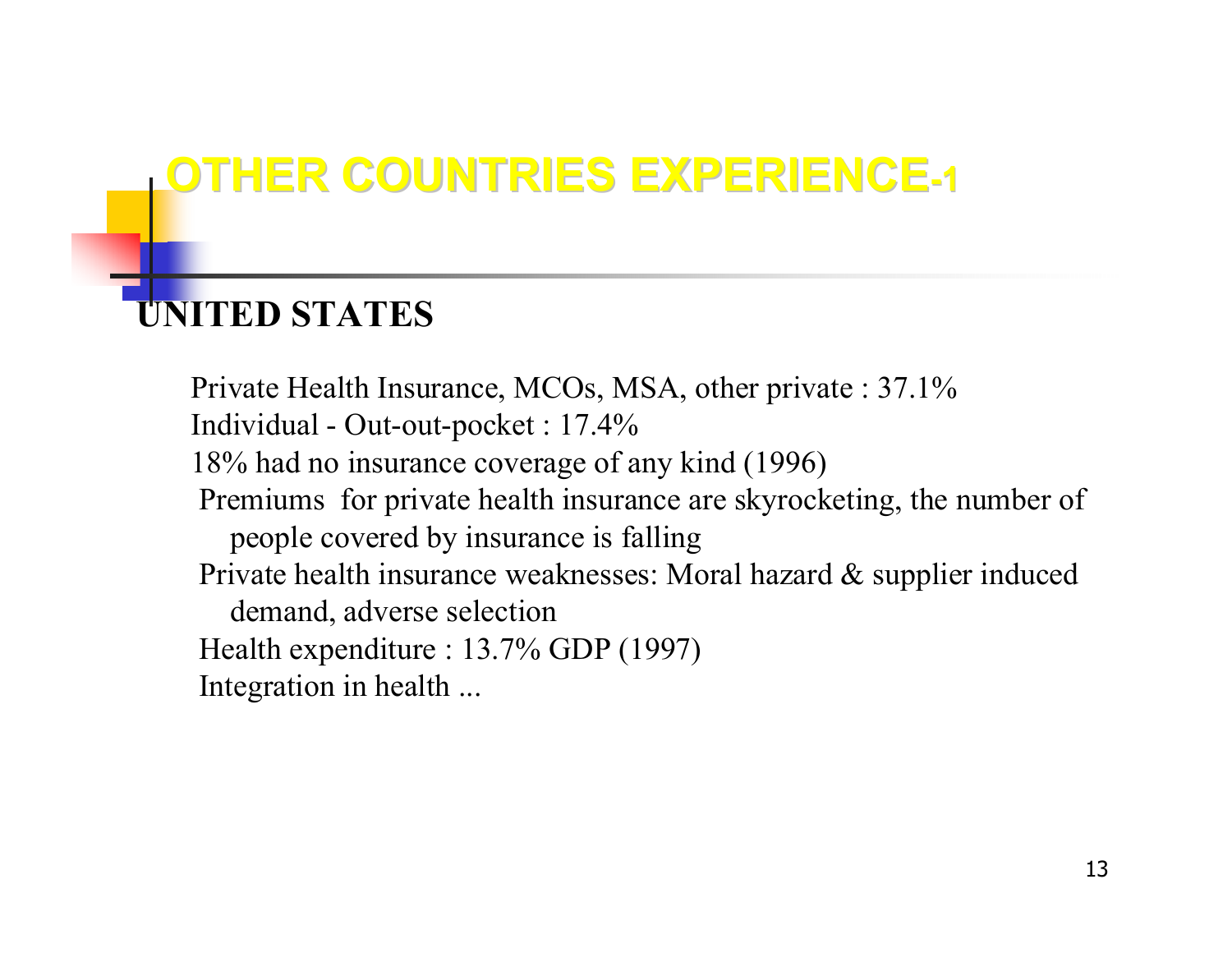### **OTHER COUNTRIES EXPERIENCE-1**

#### **UNITED STATES**

Private Health Insurance, MCOs, MSA, other private : 37.1% Individual - Out-out-pocket : 17.4% 18% had no insurance coverage of any kind (1996) Premiums for private health insurance are skyrocketing, the number of people covered by insurance is falling Private health insurance weaknesses: Moral hazard & supplier induced demand, adverse selecti o n Health expenditure : 13.7% GDP (1997) Integration in health ...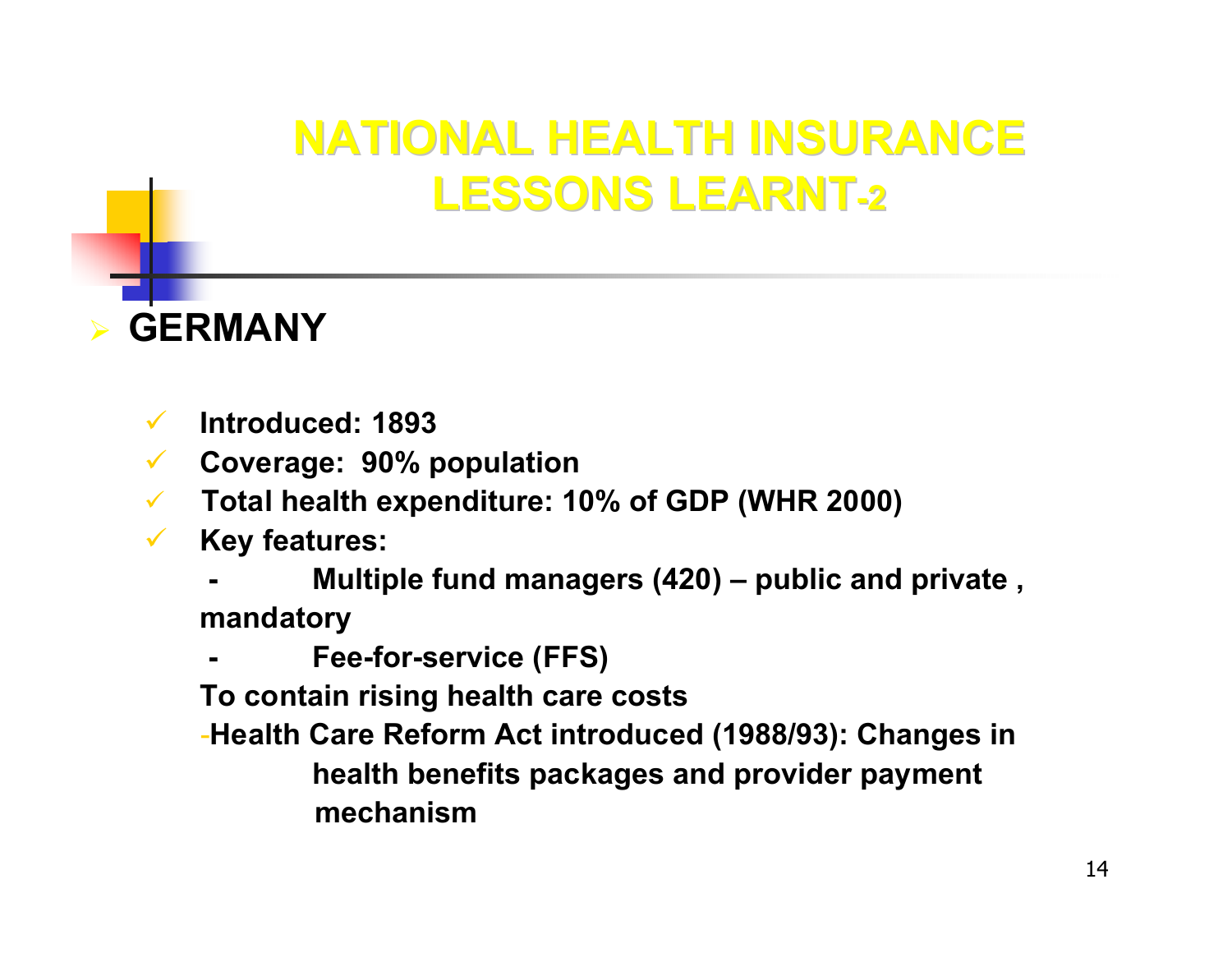### **NATIONAL HEALTH INSURANCE LESSONS LEARNT LESSONS LEARNT-2**



- $\checkmark$ **Introduced: 1893**
- $\checkmark$ **Coverage: 90% population**
- $\checkmark$ **Total health expenditure: 10% of GDP (WHR 2000)**
- $\checkmark$  **Key features:** 
	- **- Multiple fund managers (420) – public and private , mandatory**
	- **-Fee-for-service (FFS)**
	- **To contain rising health care costs**
	- -**Health Care Reform Act introduced (1988/93): Changes in health benefits packages and provider payment mechanism**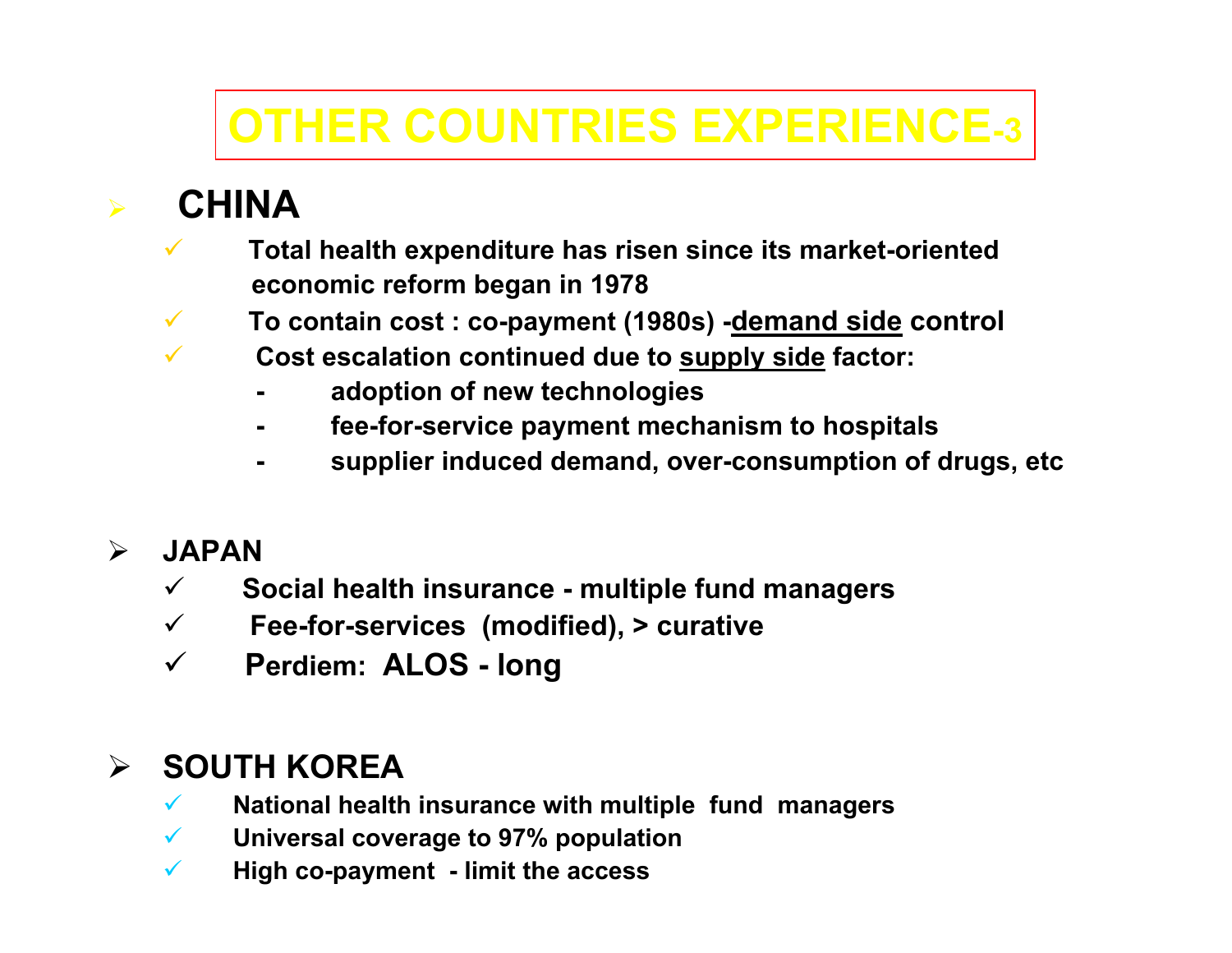### **OTHER COUNTRIES EXPERIENCE-3**

#### **CHINA**

¾

- $\checkmark$  **Total health expenditure has risen since its market-oriented economic reform began in 1978**
- $\checkmark$ **To contain cost : co-payment (1980s) -demand side control**
- $\checkmark$  **Cost escalation continued due to supply side factor:**
	- **adoption of new technologies**
	- **fee-for-service payment mechanism to hospitals**
	- **supplier induced demand, over-consumption of drugs, etc**

#### $\blacktriangleright$ **JAPAN**

- $\checkmark$ **Social health insurance - multiple fund managers**
- $\checkmark$ **Fee-for-services (modified), > curative**
- $\checkmark$ **Perdiem: ALOS - long**

#### $\blacktriangleright$ **SOUTH KOREA**

- $\checkmark$ **National health insurance with multiple fund managers**
- $\checkmark$ **Universal coverage to 97% population**
- $\checkmark$ **High co-payment - limit the access**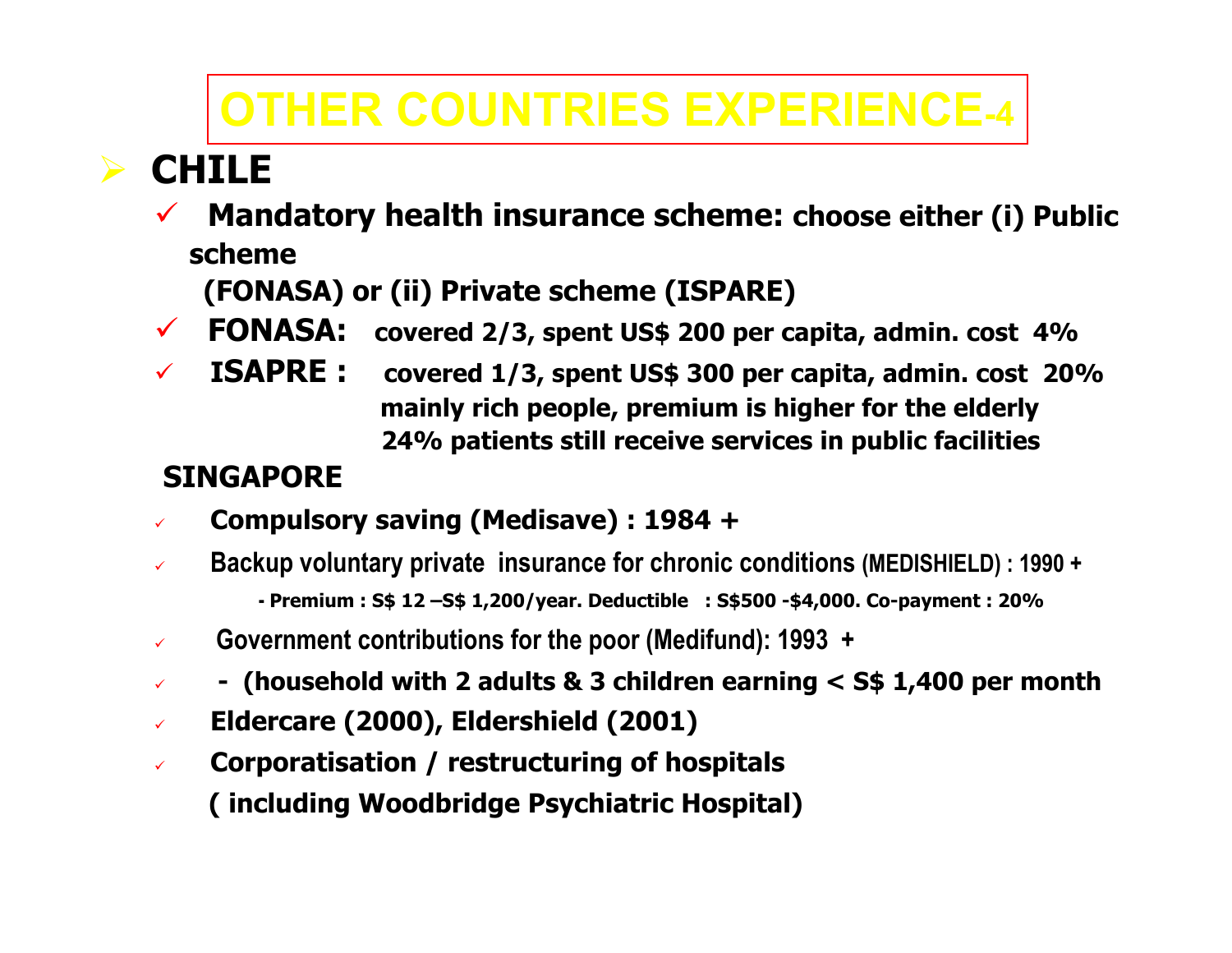### **OTHER COUNTRIES EXPERIENCE-4**

#### ¾**CHILE**

 $\checkmark$  **Mandatory health insurance scheme: choose either (i) Public scheme** 

**(FONASA) or (ii) Private scheme (ISPARE)**

- $\checkmark$  FONASA: **Formal 2/3, spent US\$ 200 per capita, admin. cost 4%**
- $\checkmark$  **ISAPRE : covered 1/3, spent US\$ 300 per capita, admin. cost 20% mainly rich people, premium is higher for the elderly 24% patients still receive services in public facilities**

#### **SINGAPORE**

- $\checkmark$ **Compulsory saving (Medisave) : 1984 +**
- $\checkmark$  **Backup voluntary private insurance for chronic conditions (MEDISHIELD) : 1990 + - Premium : S\$ 12 –S\$ 1,200/year. Deductible : S\$500 -\$4,000. Co-payment : 20%**
- $\checkmark$ **Government contributions for the poor (Medifund): 1993 +**
- $\checkmark$ **- (household with 2 adults & 3 children earning < S\$ 1,400 per month**
- $\checkmark$ **Eldercare (2000), Eldershield (2001)**
- $\checkmark$  **Corporatisation / restructuring of hospitals ( including Woodbridge Psychiatric Hospital)**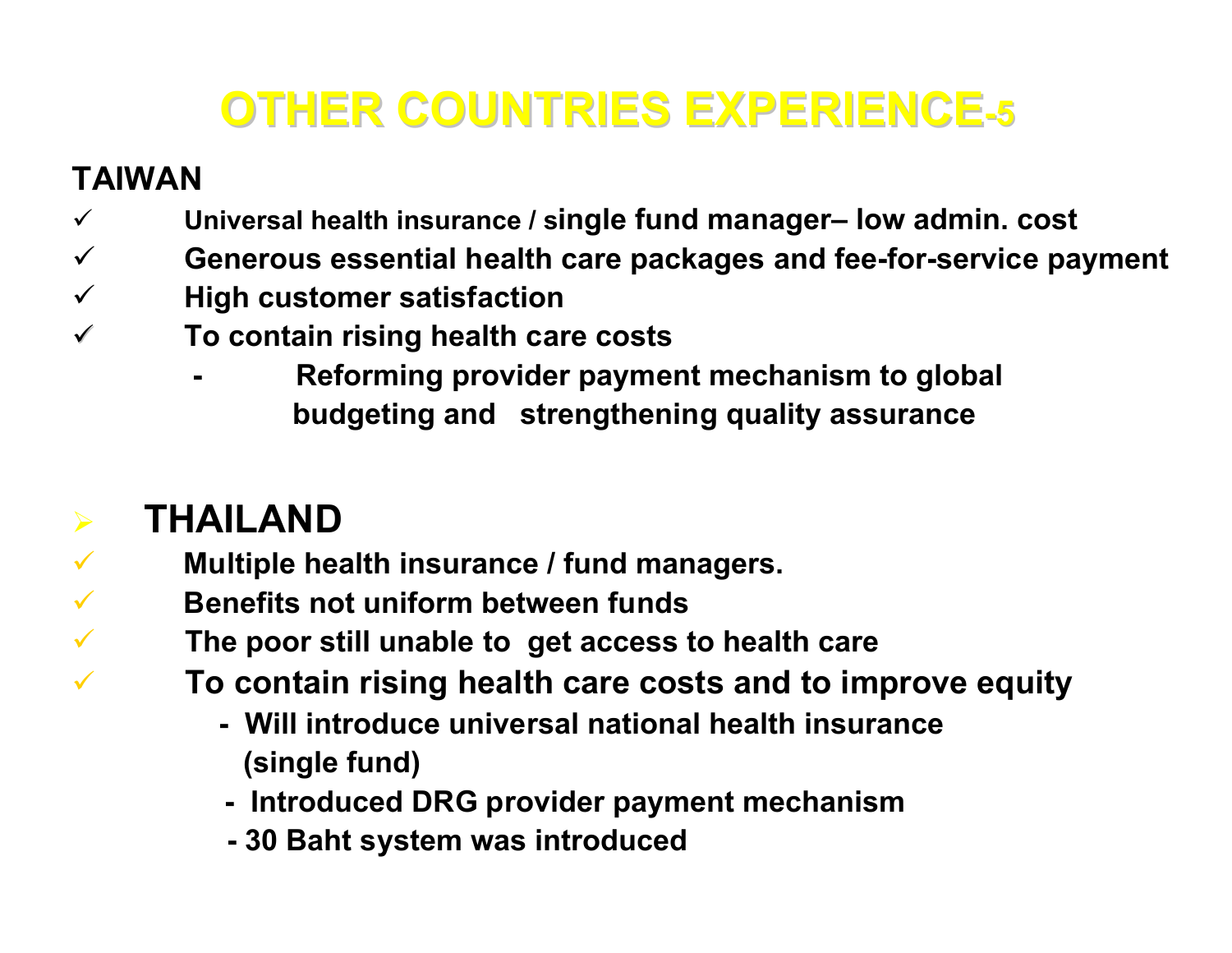### **OTHER COUNTRIES EXPERIENCE OTHER COUNTRIES EXPERIENCE- 5**

#### **TAIWAN**

¾

 $\checkmark$ 

 $\checkmark$ 

 $\checkmark$ 

 $\checkmark$ 

- $\checkmark$ **Universal health insurance / single fund manager– low admin. cost**
- $\checkmark$ **Generous essential health care packages and fee-for-service payment**
- $\checkmark$ **High customer satisfaction**
- $\checkmark$  **To contain rising health care costs**
	- **Reforming provider payment mechanism to global budgeting and strengthening quality assurance**

#### **THAILAND**

**-**

- **Multiple health insurance / fund managers.**
- **Benefits not unifor m between funds**
	- **The poor still unable to get access to health care**
		- **To contain rising health care costs and to improve equity**
			- **-Will introduce universal national health insurance(single fund)**
			- **- Introduced DRG provider payment mechanism**
			- **- 30 Baht system was introduced**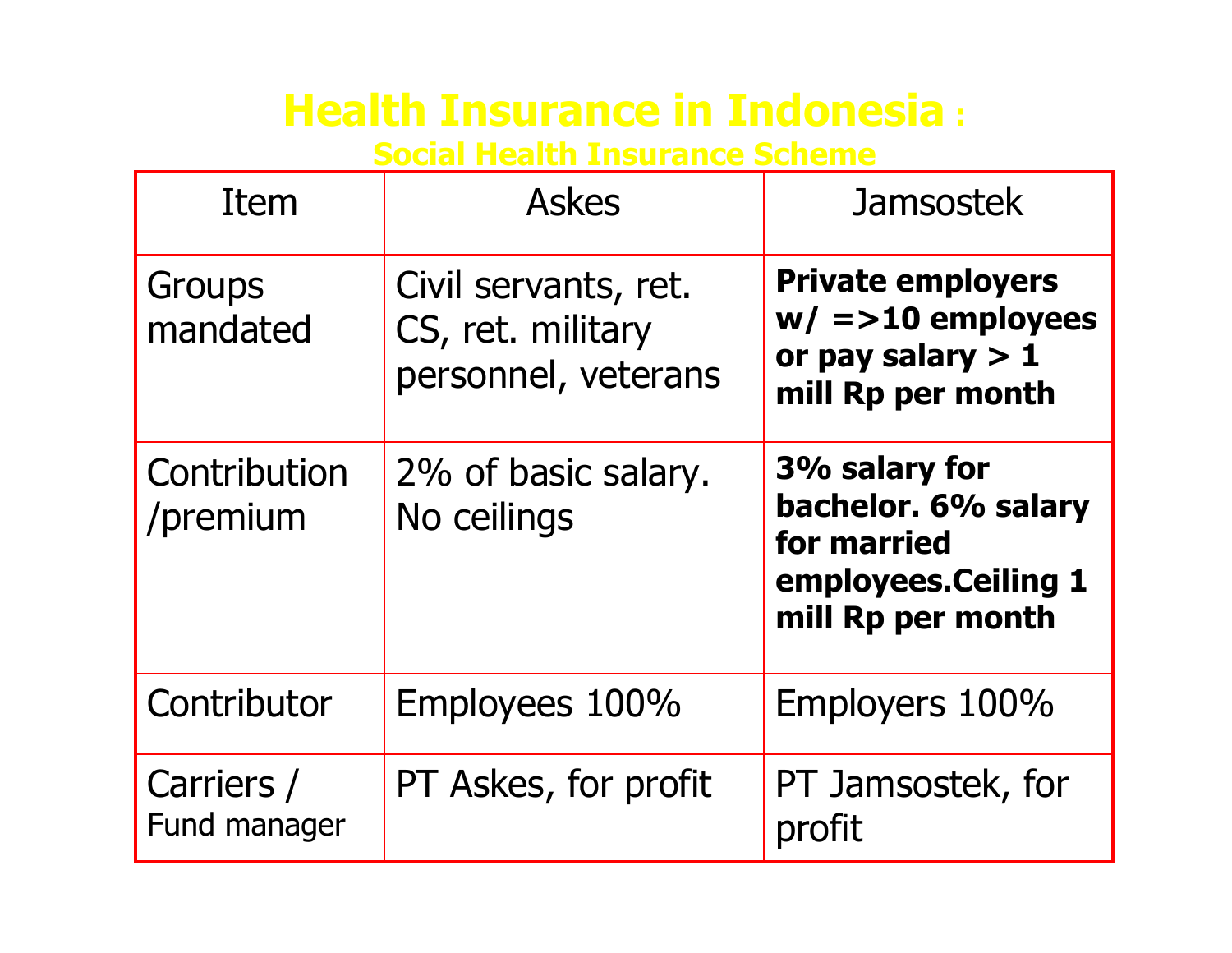#### **Health Insurance in Indonesia :**

**Social Health Insurance Scheme**

| Item                       | <b>Askes</b>                                                     | <b>Jamsostek</b>                                                                                |
|----------------------------|------------------------------------------------------------------|-------------------------------------------------------------------------------------------------|
| <b>Groups</b><br>mandated  | Civil servants, ret.<br>CS, ret. military<br>personnel, veterans | <b>Private employers</b><br>$w/ == 10$ employees<br>or pay salary $> 1$<br>mill Rp per month    |
| Contribution<br>/premium   | 2% of basic salary.<br>No ceilings                               | 3% salary for<br>bachelor. 6% salary<br>for married<br>employees.Ceiling 1<br>mill Rp per month |
| Contributor                | Employees 100%                                                   | Employers 100%                                                                                  |
| Carriers /<br>Fund manager | PT Askes, for profit                                             | PT Jamsostek, for<br>profit                                                                     |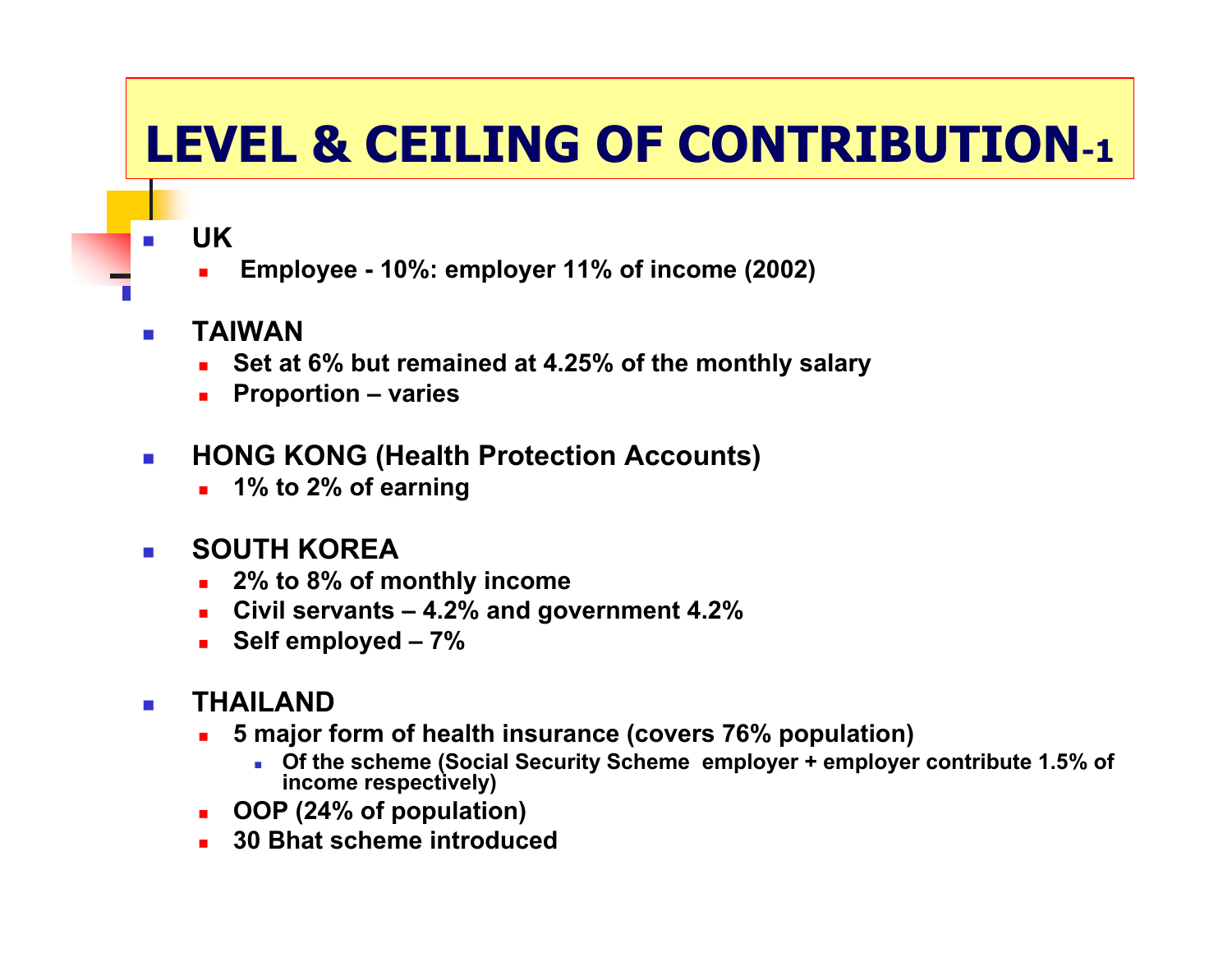## **LEVEL & CEILING OF CONTRIBUTION-1**

**UK**

- г **Employee - 10%: employer 11% of income (2002)**
- $\mathcal{L}_{\rm{max}}$  **TAIWAN**
	- Г **Set at 6% but remained at 4.25% of the monthly salary**
	- Г **Proportion – varies**
- $\mathcal{L}_{\mathcal{A}}$  **HONG KONG (Health Protection Accounts)**
	- г **1% to 2% of earning**

#### $\mathcal{L}^{\mathcal{L}}$ **SOUTH KOREA**

- Г **2% to 8% of monthly income**
- г **Civil servants – 4.2% and government 4.2%**
- Г **Self employed – 7 %**

#### $\mathcal{L}_{\text{max}}$ **THAILAND**

- Г **5 major form of health insurance (covers 76% population)**
	- **u** Of the scheme (Social Security Scheme employer + employer contribute 1.5% of **income respectively)**
- **OOP (24% of population)**
- Г **30 Bhat scheme introduced**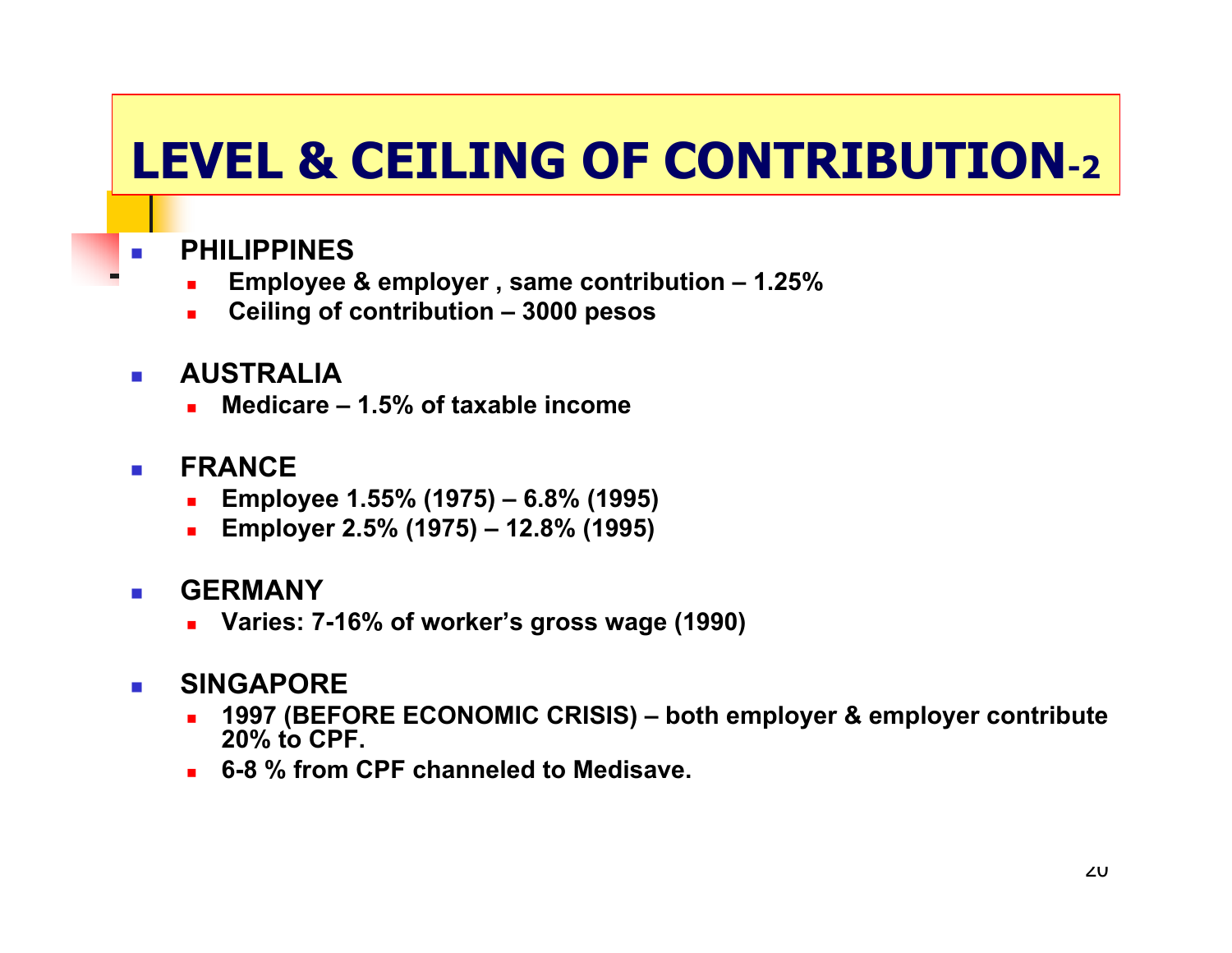## **LEVEL & CEILING OF CONTRIBUTION-2**

- **PHILIPPINES**
	- г **Employee & employer , same contribution – 1.25%**
	- Г **Ceiling of contribution – 3000 pesos**
- **AUSTRALIA**
	- Г **Medicare – 1.5% of taxable income**
- $\sim$  **FRANCE**
	- г **Employee 1.55% (1975) – 6.8% (1995)**
	- Г **Employer 2.5% (1975) – 12.8% (1995)**
- **GERMANY**
	- г **Varies: 7-16% of worker's gross wage (1990)**

#### P. **SINGAPORE**

- Г **1997 (BEFORE ECONOMIC CRISIS) – both employer & employer contribute 20% to CPF.**
- **6-8 % from CPF channeled to Medisave.**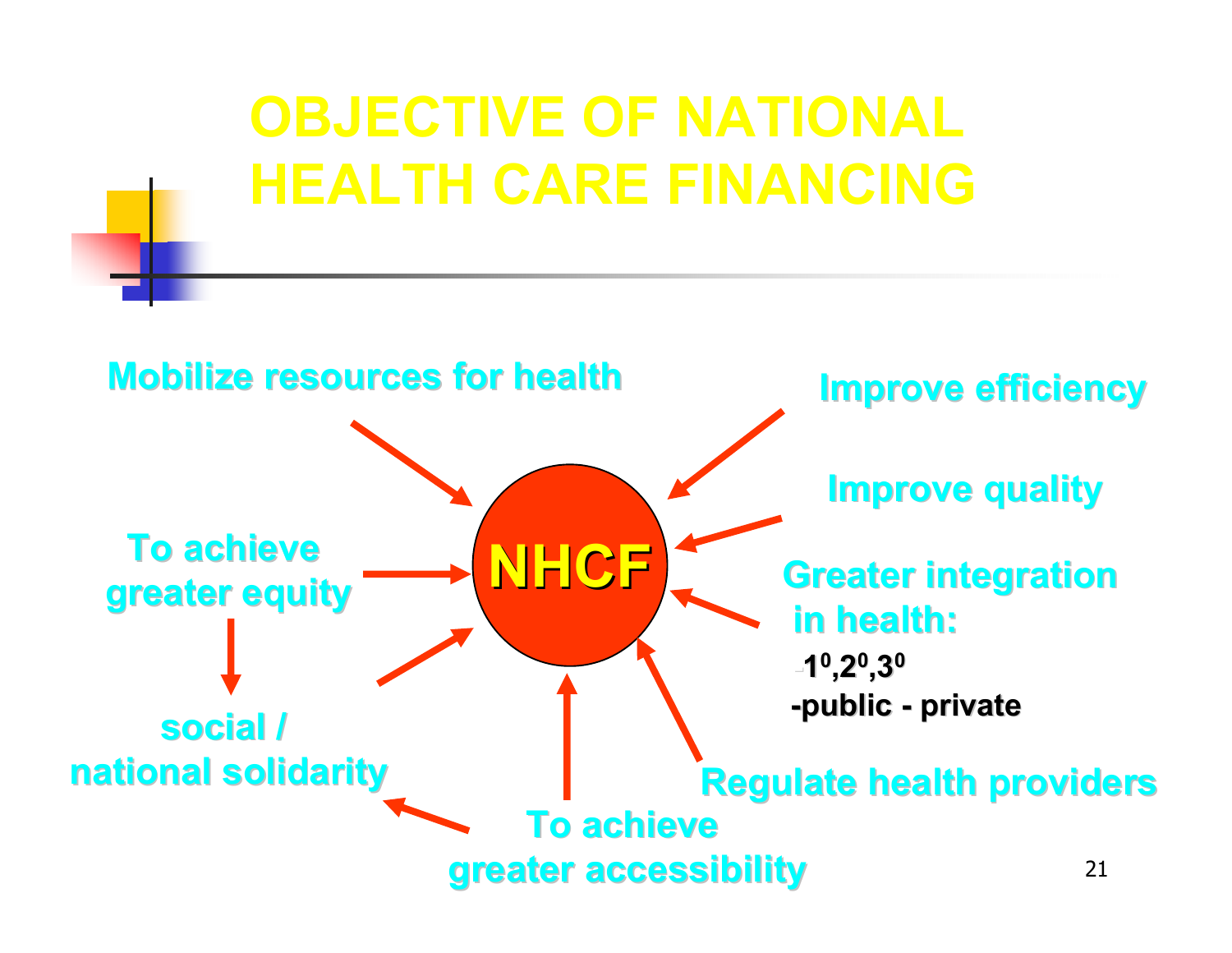## **OBJECTIVE OF NATIONAL HEALTH CARE FINANCING**

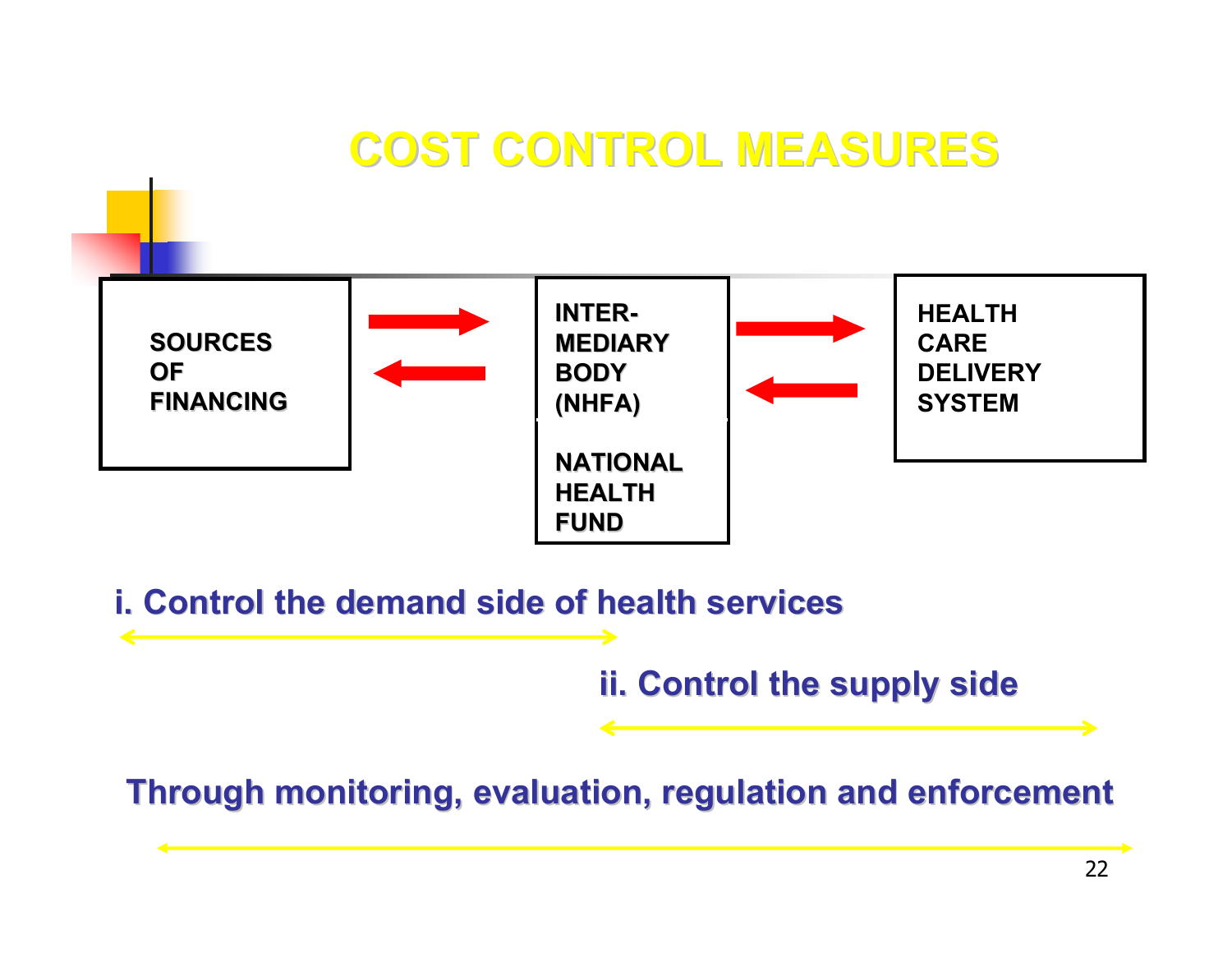### **COST CONTROL MEASURES COST CONTROL MEASURES**



**i. Control the demand side of health services i. Control the demand side of health services**

**ii. Control the supply side ii. Control the supply side**

**Through monitoring, evaluation, regulation and enforcement Through monitoring, evaluation, regulation and enforcement**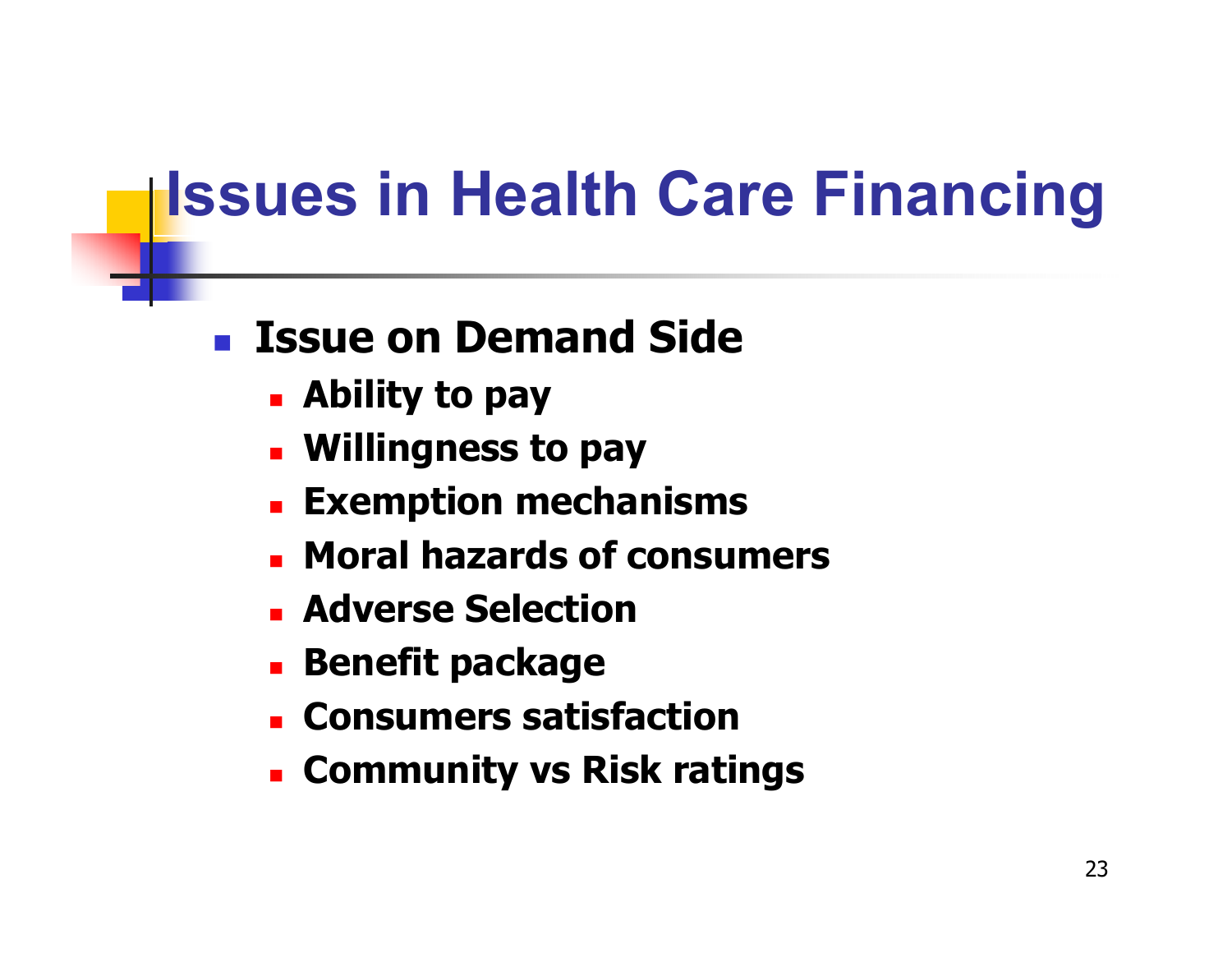# **Issues in Health Care Financing**

#### $\mathcal{L}_{\mathrm{max}}$ **Issue on Demand Side**

- **Ability to pay**
- **Willingness to pay**
- **Exemption mechanisms**
- **Moral hazards of consumers**
- **Adverse Selection**
- **Benefit package**
- **E** Consumers satisfaction
- **Community vs Risk ratings**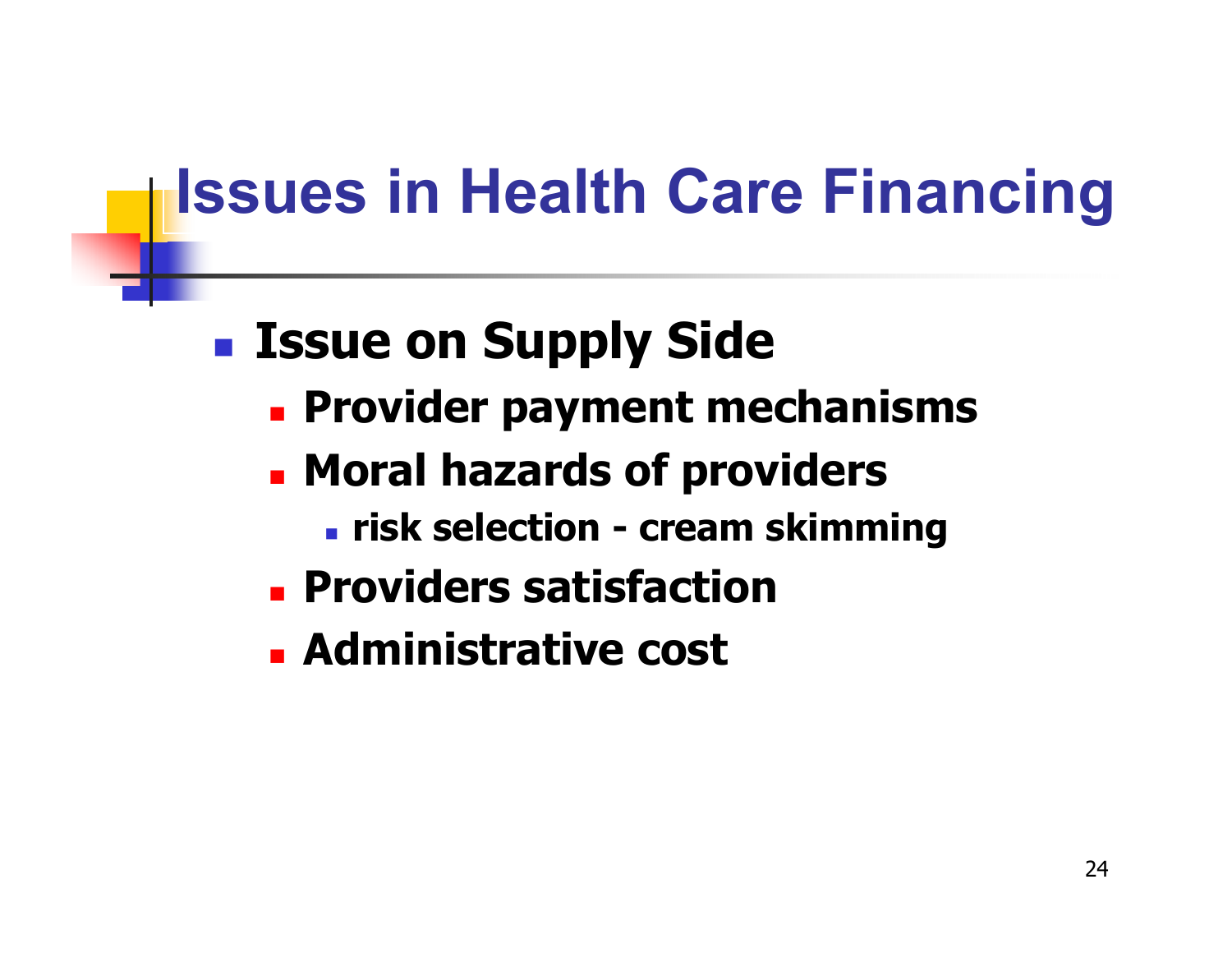# **Issues in Health Care Financing**

## **Issue on Supply Side**

- **Provider payment mechanisms**
- **Example 13 Houral hazards of providers** 
	- **risk selection - cream skimming**
- **Providers satisfaction**
- **Administrative cost**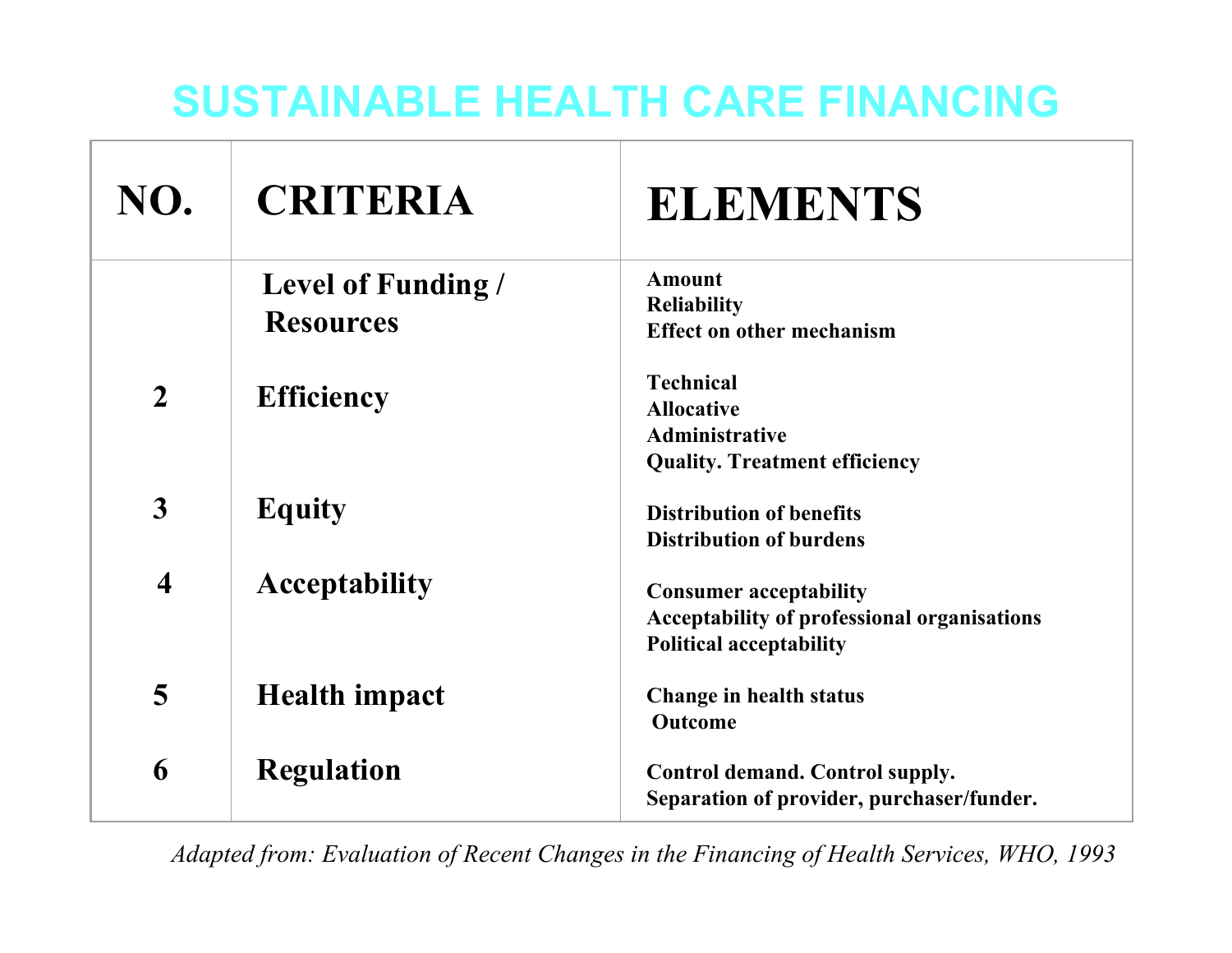#### **SUSTAINABLE HEALTH CARE FINANCING**

| NO.                     | <b>CRITERIA</b>                               | <b>ELEMENTS</b>                                                                                                       |
|-------------------------|-----------------------------------------------|-----------------------------------------------------------------------------------------------------------------------|
|                         | <b>Level of Funding /</b><br><b>Resources</b> | <b>Amount</b><br><b>Reliability</b><br><b>Effect on other mechanism</b>                                               |
| $\overline{2}$          | <b>Efficiency</b>                             | <b>Technical</b><br><b>Allocative</b><br><b>Administrative</b><br><b>Quality. Treatment efficiency</b>                |
| 3                       | <b>Equity</b>                                 | <b>Distribution of benefits</b><br><b>Distribution of burdens</b>                                                     |
| $\overline{\mathbf{4}}$ | <b>Acceptability</b>                          | <b>Consumer acceptability</b><br><b>Acceptability of professional organisations</b><br><b>Political acceptability</b> |
| 5                       | <b>Health impact</b>                          | Change in health status<br>Outcome                                                                                    |
| 6                       | <b>Regulation</b>                             | Control demand. Control supply.<br>Separation of provider, purchaser/funder.                                          |

*Adapted from: Evaluation of Recent Changes in the Financing of Health Services, WHO, 1993*